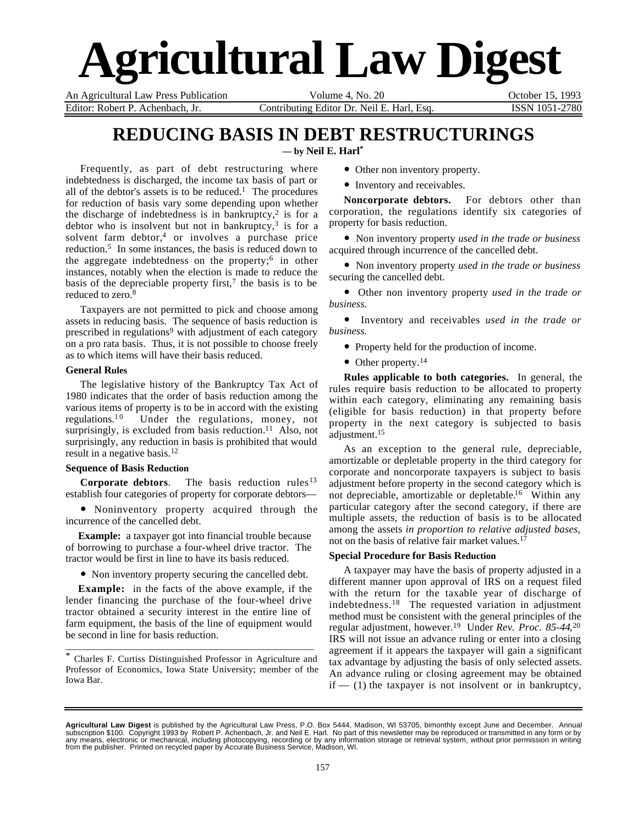# **Agricultural Law Digest**

An Agricultural Law Press Publication Volume 4, No. 20 October 15, 1993 Editor: Robert P. Achenbach, Jr. Contributing Editor Dr. Neil E. Harl, Esq. ISSN 1051-2780

## **REDUCING BASIS IN DEBT RESTRUCTURINGS**

**— by Neil E. Harl\***

 Frequently, as part of debt restructuring where indebtedness is discharged, the income tax basis of part or all of the debtor's assets is to be reduced.<sup>1</sup> The procedures for reduction of basis vary some depending upon whether the discharge of indebtedness is in bankruptcy,<sup>2</sup> is for a debtor who is insolvent but not in bankruptcy, $3$  is for a solvent farm debtor, $4$  or involves a purchase price reduction.<sup>5</sup> In some instances, the basis is reduced down to the aggregate indebtedness on the property; $6$  in other instances, notably when the election is made to reduce the basis of the depreciable property first,<sup>7</sup> the basis is to be reduced to zero.<sup>8</sup>

Taxpayers are not permitted to pick and choose among assets in reducing basis. The sequence of basis reduction is prescribed in regulations<sup>9</sup> with adjustment of each category on a pro rata basis. Thus, it is not possible to choose freely as to which items will have their basis reduced.

#### **General Rules**

The legislative history of the Bankruptcy Tax Act of 1980 indicates that the order of basis reduction among the various items of property is to be in accord with the existing regulations.<sup>10</sup> Under the regulations, money, not Under the regulations, money, not surprisingly, is excluded from basis reduction.<sup>11</sup> Also, not surprisingly, any reduction in basis is prohibited that would result in a negative basis.12

#### **Sequence of Basis Reduction**

**Corporate debtors.** The basis reduction rules<sup>13</sup> establish four categories of property for corporate debtors—

• Noninventory property acquired through the incurrence of the cancelled debt.

**Example:** a taxpayer got into financial trouble because of borrowing to purchase a four-wheel drive tractor. The tractor would be first in line to have its basis reduced.

• Non inventory property securing the cancelled debt.

**Example:** in the facts of the above example, if the lender financing the purchase of the four-wheel drive tractor obtained a security interest in the entire line of farm equipment, the basis of the line of equipment would be second in line for basis reduction.

\_\_\_\_\_\_\_\_\_\_\_\_\_\_\_\_\_\_\_\_\_\_\_\_\_\_\_\_\_\_\_\_\_\_\_\_\_\_\_\_\_\_\_\_\_\_\_\_\_\_\_\_\_

- Other non inventory property.
- Inventory and receivables.

**Noncorporate debtors.** For debtors other than corporation, the regulations identify six categories of property for basis reduction.

• Non inventory property *used in the trade or business* acquired through incurrence of the cancelled debt.

• Non inventory property *used in the trade or business* securing the cancelled debt.

• Other non inventory property *used in the trade or business.*

• Inventory and receivables *used in the trade or business.*

- Property held for the production of income.
- Other property.<sup>14</sup>

**Rules applicable to both categories.** In general, the rules require basis reduction to be allocated to property within each category, eliminating any remaining basis (eligible for basis reduction) in that property before property in the next category is subjected to basis adjustment.15

As an exception to the general rule, depreciable, amortizable or depletable property in the third category for corporate and noncorporate taxpayers is subject to basis adjustment before property in the second category which is not depreciable, amortizable or depletable.<sup>16</sup> Within any particular category after the second category, if there are multiple assets, the reduction of basis is to be allocated among the assets *in proportion to relative adjusted bases,* not on the basis of relative fair market values.17

#### **Special Procedure for Basis Reduction**

A taxpayer may have the basis of property adjusted in a different manner upon approval of IRS on a request filed with the return for the taxable year of discharge of indebtedness.18 The requested variation in adjustment method must be consistent with the general principles of the regular adjustment, however.19 Under *Rev. Proc. 85-44*,20 IRS will not issue an advance ruling or enter into a closing agreement if it appears the taxpayer will gain a significant tax advantage by adjusting the basis of only selected assets. An advance ruling or closing agreement may be obtained  $if - (1)$  the taxpayer is not insolvent or in bankruptcy,

Charles F. Curtiss Distinguished Professor in Agriculture and Professor of Economics, Iowa State University; member of the Iowa Bar.

**Agricultural Law Digest** is published by the Agricultural Law Press, P.O. Box 5444, Madison, WI 53705, bimonthly except June and December. Annual<br>subscription \$100. Copyright 1993 by Robert P. Achenbach, Jr. and Neil E. from the publisher. Printed on recycled paper by Accurate Business Service, Madison, WI.